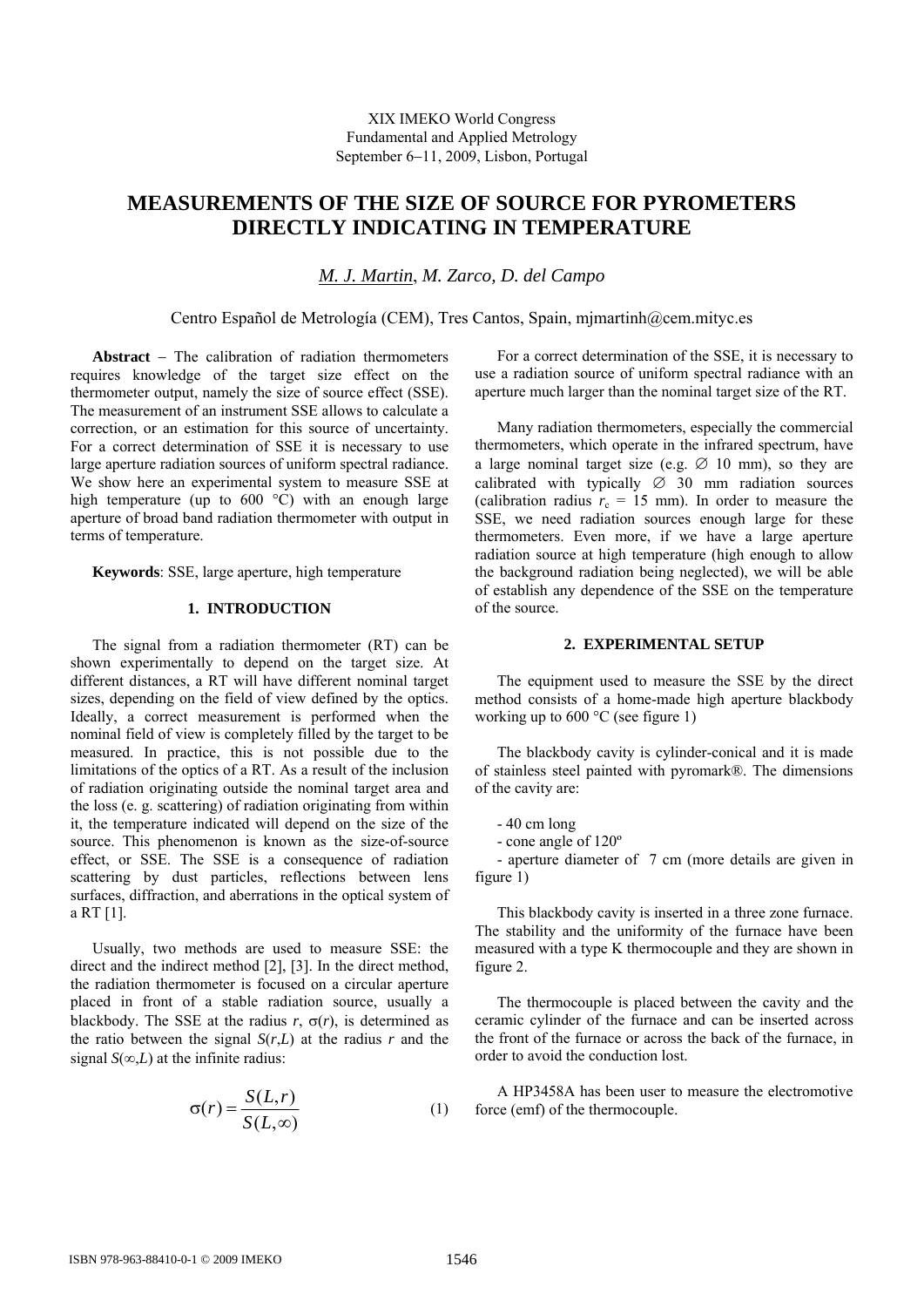# **MEASUREMENTS OF THE SIZE OF SOURCE FOR PYROMETERS DIRECTLY INDICATING IN TEMPERATURE**

*M. J. Martin*, *M. Zarco, D. del Campo* 

Centro Español de Metrología (CEM), Tres Cantos, Spain, mjmartinh@cem.mityc.es

**Abstract** − The calibration of radiation thermometers requires knowledge of the target size effect on the thermometer output, namely the size of source effect (SSE). The measurement of an instrument SSE allows to calculate a correction, or an estimation for this source of uncertainty. For a correct determination of SSE it is necessary to use large aperture radiation sources of uniform spectral radiance. We show here an experimental system to measure SSE at high temperature (up to 600 °C) with an enough large aperture of broad band radiation thermometer with output in terms of temperature.

**Keywords**: SSE, large aperture, high temperature

## **1. INTRODUCTION**

The signal from a radiation thermometer (RT) can be shown experimentally to depend on the target size. At different distances, a RT will have different nominal target sizes, depending on the field of view defined by the optics. Ideally, a correct measurement is performed when the nominal field of view is completely filled by the target to be measured. In practice, this is not possible due to the limitations of the optics of a RT. As a result of the inclusion of radiation originating outside the nominal target area and the loss (e. g. scattering) of radiation originating from within it, the temperature indicated will depend on the size of the source. This phenomenon is known as the size-of-source effect, or SSE. The SSE is a consequence of radiation scattering by dust particles, reflections between lens surfaces, diffraction, and aberrations in the optical system of a RT [1].

Usually, two methods are used to measure SSE: the direct and the indirect method [2], [3]. In the direct method, the radiation thermometer is focused on a circular aperture placed in front of a stable radiation source, usually a blackbody. The SSE at the radius  $r$ ,  $\sigma(r)$ , is determined as the ratio between the signal  $S(r,L)$  at the radius *r* and the signal  $S(\infty, L)$  at the infinite radius:

$$
\sigma(r) = \frac{S(L, r)}{S(L, \infty)}\tag{1}
$$

For a correct determination of the SSE, it is necessary to use a radiation source of uniform spectral radiance with an aperture much larger than the nominal target size of the RT.

Many radiation thermometers, especially the commercial thermometers, which operate in the infrared spectrum, have a large nominal target size (e.g.  $\varnothing$  10 mm), so they are calibrated with typically  $\varnothing$  30 mm radiation sources (calibration radius  $r_c = 15$  mm). In order to measure the SSE, we need radiation sources enough large for these thermometers. Even more, if we have a large aperture radiation source at high temperature (high enough to allow the background radiation being neglected), we will be able of establish any dependence of the SSE on the temperature of the source.

#### **2. EXPERIMENTAL SETUP**

The equipment used to measure the SSE by the direct method consists of a home-made high aperture blackbody working up to 600 °C (see figure 1)

The blackbody cavity is cylinder-conical and it is made of stainless steel painted with pyromark®. The dimensions of the cavity are:

- 40 cm long

- cone angle of 120º

- aperture diameter of 7 cm (more details are given in figure 1)

This blackbody cavity is inserted in a three zone furnace. The stability and the uniformity of the furnace have been measured with a type K thermocouple and they are shown in figure 2.

The thermocouple is placed between the cavity and the ceramic cylinder of the furnace and can be inserted across the front of the furnace or across the back of the furnace, in order to avoid the conduction lost.

A HP3458A has been user to measure the electromotive force (emf) of the thermocouple.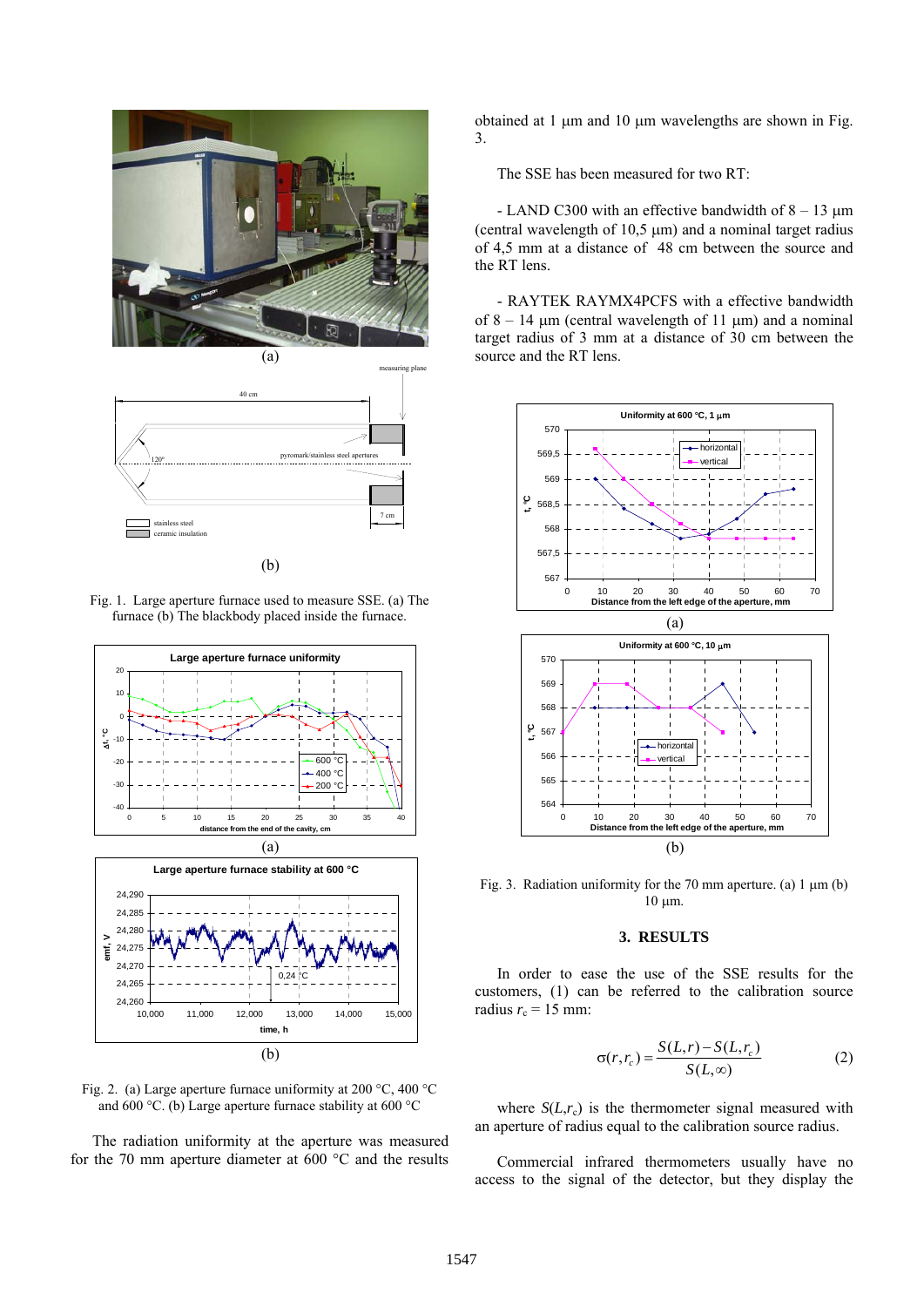



(b)







The radiation uniformity at the aperture was measured for the 70 mm aperture diameter at 600 °C and the results obtained at 1 μm and 10 μm wavelengths are shown in Fig. 3.

The SSE has been measured for two RT:

- LAND C300 with an effective bandwidth of  $8 - 13 \mu m$ (central wavelength of 10,5  $\mu$ m) and a nominal target radius of 4,5 mm at a distance of 48 cm between the source and the RT lens.

- RAYTEK RAYMX4PCFS with a effective bandwidth of  $8 - 14$  μm (central wavelength of 11 μm) and a nominal target radius of 3 mm at a distance of 30 cm between the source and the RT lens.



Fig. 3. Radiation uniformity for the 70 mm aperture. (a) 1 μm (b) 10 μm.

#### **3. RESULTS**

In order to ease the use of the SSE results for the customers, (1) can be referred to the calibration source radius  $r_c = 15$  mm:

$$
\sigma(r, r_c) = \frac{S(L, r) - S(L, r_c)}{S(L, \infty)}
$$
 (2)

where  $S(L,r_c)$  is the thermometer signal measured with an aperture of radius equal to the calibration source radius.

Commercial infrared thermometers usually have no access to the signal of the detector, but they display the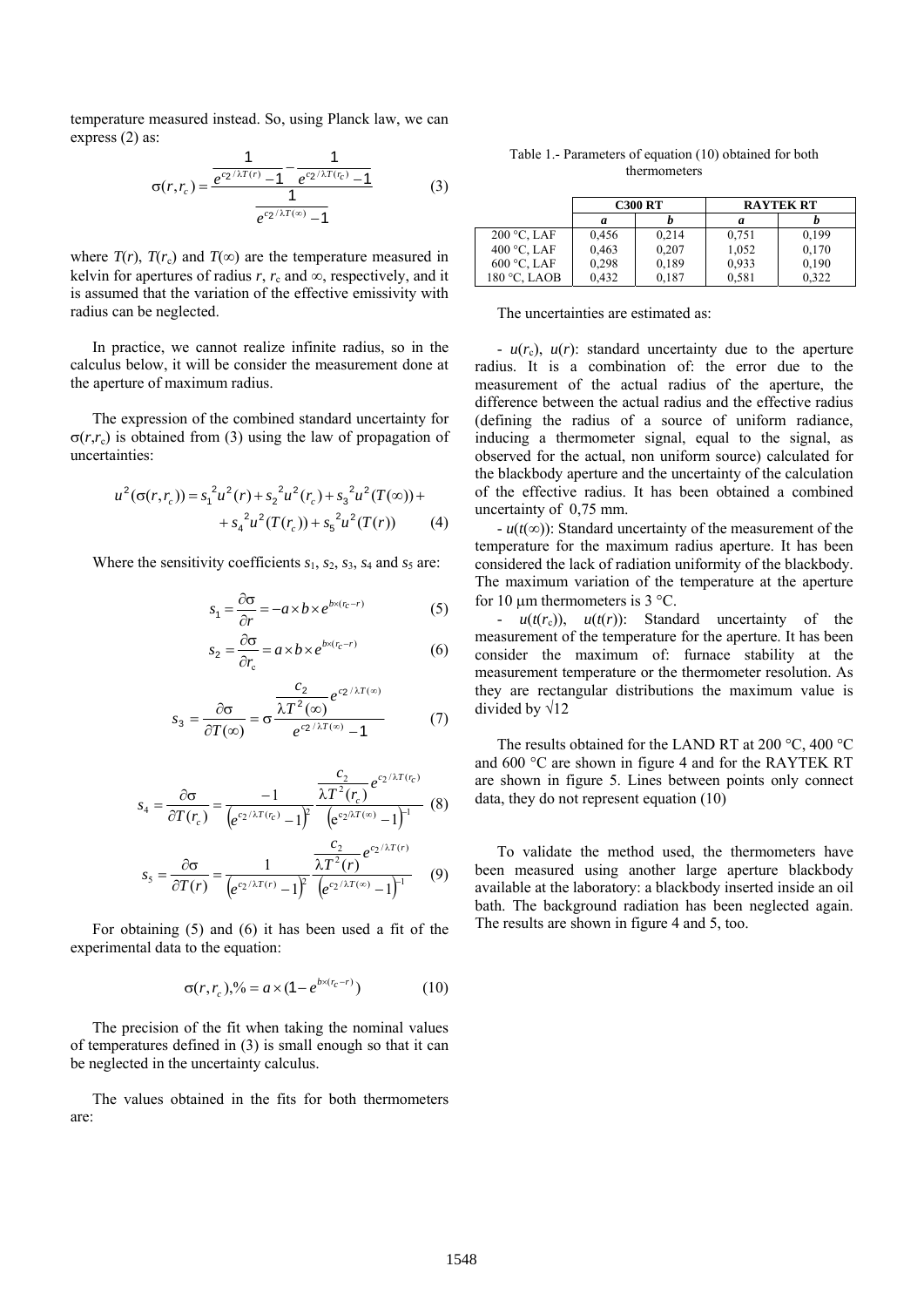temperature measured instead. So, using Planck law, we can express (2) as:

$$
\sigma(r,r_c) = \frac{\frac{1}{e^{c_2/\lambda T(r)} - 1} - \frac{1}{e^{c_2/\lambda T(r_c)} - 1}}{\frac{1}{e^{c_2/\lambda T(\infty)} - 1}}
$$
(3)

where  $T(r)$ ,  $T(r_c)$  and  $T(\infty)$  are the temperature measured in kelvin for apertures of radius  $r$ ,  $r_c$  and  $\infty$ , respectively, and it is assumed that the variation of the effective emissivity with radius can be neglected.

In practice, we cannot realize infinite radius, so in the calculus below, it will be consider the measurement done at the aperture of maximum radius.

The expression of the combined standard uncertainty for  $\sigma(r,r_c)$  is obtained from (3) using the law of propagation of uncertainties:

$$
u^{2}(\sigma(r,r_{c})) = s_{1}^{2}u^{2}(r) + s_{2}^{2}u^{2}(r_{c}) + s_{3}^{2}u^{2}(T(\infty)) + + s_{4}^{2}u^{2}(T(r_{c})) + s_{5}^{2}u^{2}(T(r))
$$
 (4)

Where the sensitivity coefficients  $s_1$ ,  $s_2$ ,  $s_3$ ,  $s_4$  and  $s_5$  are:

$$
s_1 = \frac{\partial \sigma}{\partial r} = -a \times b \times e^{b \times (r_c - r)} \tag{5}
$$

$$
s_2 = \frac{\partial \sigma}{\partial r_c} = a \times b \times e^{bx(r_c - r)}
$$
(6)

$$
s_3 = \frac{\partial \sigma}{\partial T(\infty)} = \sigma \frac{\frac{c_2}{\lambda T^2(\infty)} e^{c_2/\lambda T(\infty)}}{e^{c_2/\lambda T(\infty)} - 1}
$$
(7)

$$
s_4 = \frac{\partial \sigma}{\partial T(r_c)} = \frac{-1}{\left(e^{c_2/\lambda T(r_c)} - 1\right)^2} \frac{\frac{c_2}{\lambda T^2(r_c)} e^{c_2/\lambda T(r_c)}}{\left(e^{c_2/\lambda T(\infty)} - 1\right)^{-1}} \tag{8}
$$

$$
s_5 = \frac{\partial \sigma}{\partial T(r)} = \frac{1}{\left(e^{c_2/\lambda T(r)} - 1\right)^2} \frac{\frac{c_2}{\lambda T^2(r)} e^{c_2/\lambda T(r)}}{\left(e^{c_2/\lambda T(\infty)} - 1\right)^{-1}} \tag{9}
$$

For obtaining (5) and (6) it has been used a fit of the experimental data to the equation:

$$
\sigma(r, r_c),\% = a \times (1 - e^{b \times (r_c - r)})
$$
 (10)

The precision of the fit when taking the nominal values of temperatures defined in (3) is small enough so that it can be neglected in the uncertainty calculus.

The values obtained in the fits for both thermometers are:

Table 1.- Parameters of equation (10) obtained for both thermometers

|                | <b>C300 RT</b> |       | <b>RAYTEK RT</b> |       |
|----------------|----------------|-------|------------------|-------|
|                | a              |       | a                |       |
| $200 °C$ , LAF | 0,456          | 0.214 | 0.751            | 0.199 |
| 400 °C, LAF    | 0,463          | 0,207 | 1,052            | 0.170 |
| $600$ °C, LAF  | 0.298          | 0.189 | 0,933            | 0.190 |
| $180$ °C. LAOB | 0.432          | 0.187 | 0.581            | 0.322 |

The uncertainties are estimated as:

 $-u(r_c)$ ,  $u(r)$ : standard uncertainty due to the aperture radius. It is a combination of: the error due to the measurement of the actual radius of the aperture, the difference between the actual radius and the effective radius (defining the radius of a source of uniform radiance, inducing a thermometer signal, equal to the signal, as observed for the actual, non uniform source) calculated for the blackbody aperture and the uncertainty of the calculation of the effective radius. It has been obtained a combined uncertainty of 0,75 mm.

- *u*(*t*(∞)): Standard uncertainty of the measurement of the temperature for the maximum radius aperture. It has been considered the lack of radiation uniformity of the blackbody. The maximum variation of the temperature at the aperture for 10  $\mu$ m thermometers is 3 °C.

-  $u(t(r_c))$ ,  $u(t(r))$ : Standard uncertainty of the measurement of the temperature for the aperture. It has been consider the maximum of: furnace stability at the measurement temperature or the thermometer resolution. As they are rectangular distributions the maximum value is divided by √12

The results obtained for the LAND RT at 200 °C, 400 °C and 600 °C are shown in figure 4 and for the RAYTEK RT are shown in figure 5. Lines between points only connect data, they do not represent equation (10)

To validate the method used, the thermometers have been measured using another large aperture blackbody available at the laboratory: a blackbody inserted inside an oil bath. The background radiation has been neglected again. The results are shown in figure 4 and 5, too.